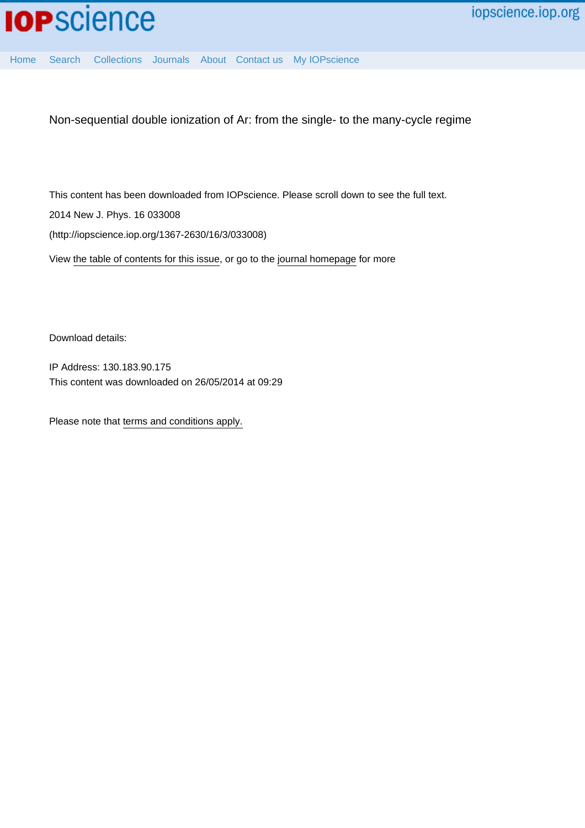

[Home](http://iopscience.iop.org/) [Search](http://iopscience.iop.org/search) [Collections](http://iopscience.iop.org/collections) [Journals](http://iopscience.iop.org/journals) [About](http://iopscience.iop.org/page/aboutioppublishing) [Contact us](http://iopscience.iop.org/contact) [My IOPscience](http://iopscience.iop.org/myiopscience)

Non-sequential double ionization of Ar: from the single- to the many-cycle regime

This content has been downloaded from IOPscience. Please scroll down to see the full text. 2014 New J. Phys. 16 033008 (http://iopscience.iop.org/1367-2630/16/3/033008)

View [the table of contents for this issue](http://iopscience.iop.org/1367-2630/16/3), or go to the [journal homepage](http://iopscience.iop.org/1367-2630) for more

Download details:

IP Address: 130.183.90.175 This content was downloaded on 26/05/2014 at 09:29

Please note that [terms and conditions apply.](iopscience.iop.org/page/terms)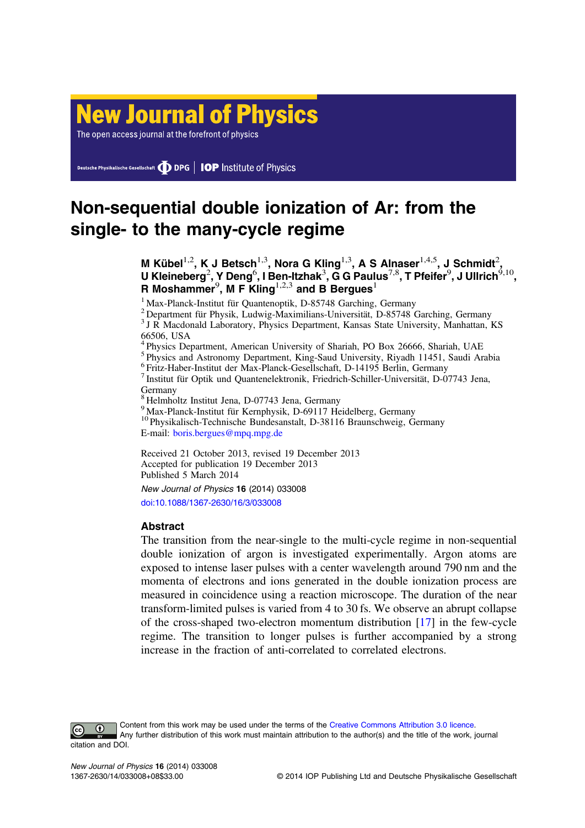# **New Journal of Physics**

The open access journal at the forefront of physics

Deutsche Physikalische Gesellschaft **DDPG** | IOP Institute of Physics

# Non-sequential double ionization of Ar: from the single- to the many-cycle regime

M Kübel<sup>1,2</sup>, K J Betsch<sup>1,3</sup>, Nora G Kling<sup>1,3</sup>, A S Alnaser<sup>1,4,5</sup>, J Schmidt<sup>2</sup>, U Kleineberg $^2$ , Y Deng $^6$ , I Ben-Itzhak $^3$ , G G Paulus $^{7,8}$ , T Pfeifer $^9$ , J Ullrich $^{9,10}$ , R Moshammer<sup>9</sup>, M F Kling<sup>1,2,3</sup> and B Bergues<sup>1</sup>

<sup>1</sup> Max-Planck-Institut für Quantenoptik, D-85748 Garching, Germany

<sup>2</sup> Department für Physik, Ludwig-Maximilians-Universität, D-85748 Garching, Germany <sup>3</sup> J R Macdonald Laboratory, Physics Department, Kansas State University, Manhattan, KS 66506, USA

<sup>4</sup> Physics Department, American University of Shariah, PO Box 26666, Shariah, UAE

<sup>5</sup> Physics and Astronomy Department, King-Saud University, Riyadh 11451, Saudi Arabia

<sup>6</sup> Fritz-Haber-Institut der Max-Planck-Gesellschaft, D-14195 Berlin, Germany

<sup>7</sup> Institut für Optik und Quantenelektronik, Friedrich-Schiller-Universität, D-07743 Jena, Germany

<sup>8</sup> Helmholtz Institut Jena, D-07743 Jena, Germany

<sup>9</sup> Max-Planck-Institut für Kernphysik, D-69117 Heidelberg, Germany

<sup>10</sup> Physikalisch-Technische Bundesanstalt, D-38116 Braunschweig, Germany E-mail: [boris.bergues@mpq.mpg.de](mailto:boris.bergues@mpq.mpg.de)

Received 21 October 2013, revised 19 December 2013 Accepted for publication 19 December 2013 Published 5 March 2014 New Journal of Physics 16 (2014) 033008 [doi:10.1088/1367-2630/16/3/033008](http://dx.doi.org/10.1088/1367-2630/16/3/033008)

## Abstract

The transition from the near-single to the multi-cycle regime in non-sequential double ionization of argon is investigated experimentally. Argon atoms are exposed to intense laser pulses with a center wavelength around 790 nm and the momenta of electrons and ions generated in the double ionization process are measured in coincidence using a reaction microscope. The duration of the near transform-limited pulses is varied from 4 to 30 fs. We observe an abrupt collapse of the cross-shaped two-electron momentum distribution [\[17](#page-8-0)] in the few-cycle regime. The transition to longer pulses is further accompanied by a strong increase in the fraction of anti-correlated to correlated electrons.

Content from this work may be used under the terms of the [Creative Commons Attribution 3.0 licence](http://creativecommons.org/licenses/by/3.0). ⋒ Any further distribution of this work must maintain attribution to the author(s) and the title of the work, journal citation and DOI.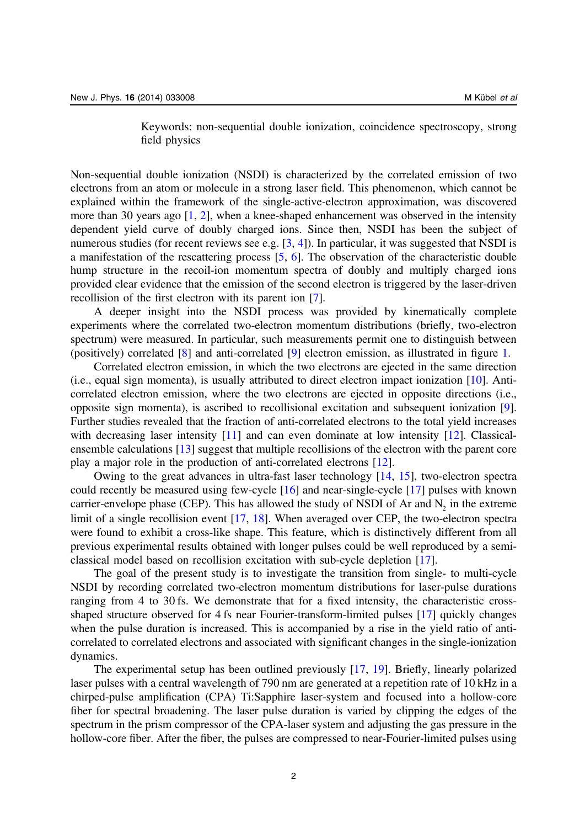Keywords: non-sequential double ionization, coincidence spectroscopy, strong field physics

Non-sequential double ionization (NSDI) is characterized by the correlated emission of two electrons from an atom or molecule in a strong laser field. This phenomenon, which cannot be explained within the framework of the single-active-electron approximation, was discovered more than 30 years ago [[1](#page-7-0), [2\]](#page-7-0), when a knee-shaped enhancement was observed in the intensity dependent yield curve of doubly charged ions. Since then, NSDI has been the subject of numerous studies (for recent reviews see e.g. [\[3](#page-7-0), [4](#page-7-0)]). In particular, it was suggested that NSDI is a manifestation of the rescattering process [[5](#page-7-0), [6](#page-7-0)]. The observation of the characteristic double hump structure in the recoil-ion momentum spectra of doubly and multiply charged ions provided clear evidence that the emission of the second electron is triggered by the laser-driven recollision of the first electron with its parent ion [[7\]](#page-7-0).

A deeper insight into the NSDI process was provided by kinematically complete experiments where the correlated two-electron momentum distributions (briefly, two-electron spectrum) were measured. In particular, such measurements permit one to distinguish between (positively) correlated [\[8](#page-7-0)] and anti-correlated [[9\]](#page-8-0) electron emission, as illustrated in figure [1](#page-3-0).

Correlated electron emission, in which the two electrons are ejected in the same direction (i.e., equal sign momenta), is usually attributed to direct electron impact ionization [[10\]](#page-8-0). Anticorrelated electron emission, where the two electrons are ejected in opposite directions (i.e., opposite sign momenta), is ascribed to recollisional excitation and subsequent ionization [\[9](#page-8-0)]. Further studies revealed that the fraction of anti-correlated electrons to the total yield increases with decreasing laser intensity [[11\]](#page-8-0) and can even dominate at low intensity [[12\]](#page-8-0). Classicalensemble calculations [[13\]](#page-8-0) suggest that multiple recollisions of the electron with the parent core play a major role in the production of anti-correlated electrons [\[12](#page-8-0)].

Owing to the great advances in ultra-fast laser technology [[14,](#page-8-0) [15\]](#page-8-0), two-electron spectra could recently be measured using few-cycle [[16\]](#page-8-0) and near-single-cycle [[17\]](#page-8-0) pulses with known carrier-envelope phase (CEP). This has allowed the study of NSDI of Ar and  $N<sub>2</sub>$  in the extreme limit of a single recollision event [[17,](#page-8-0) [18](#page-8-0)]. When averaged over CEP, the two-electron spectra were found to exhibit a cross-like shape. This feature, which is distinctively different from all previous experimental results obtained with longer pulses could be well reproduced by a semiclassical model based on recollision excitation with sub-cycle depletion [[17\]](#page-8-0).

The goal of the present study is to investigate the transition from single- to multi-cycle NSDI by recording correlated two-electron momentum distributions for laser-pulse durations ranging from 4 to 30 fs. We demonstrate that for a fixed intensity, the characteristic crossshaped structure observed for 4 fs near Fourier-transform-limited pulses [\[17\]](#page-8-0) quickly changes when the pulse duration is increased. This is accompanied by a rise in the yield ratio of anticorrelated to correlated electrons and associated with significant changes in the single-ionization dynamics.

The experimental setup has been outlined previously [\[17](#page-8-0), [19](#page-8-0)]. Briefly, linearly polarized laser pulses with a central wavelength of 790 nm are generated at a repetition rate of 10 kHz in a chirped-pulse amplification (CPA) Ti:Sapphire laser-system and focused into a hollow-core fiber for spectral broadening. The laser pulse duration is varied by clipping the edges of the spectrum in the prism compressor of the CPA-laser system and adjusting the gas pressure in the hollow-core fiber. After the fiber, the pulses are compressed to near-Fourier-limited pulses using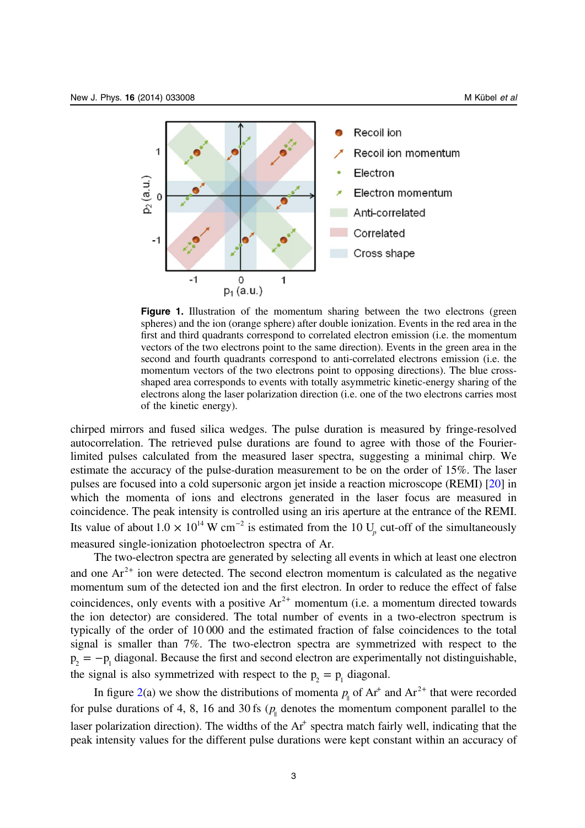<span id="page-3-0"></span>

**Figure 1.** Illustration of the momentum sharing between the two electrons (green spheres) and the ion (orange sphere) after double ionization. Events in the red area in the first and third quadrants correspond to correlated electron emission (i.e. the momentum vectors of the two electrons point to the same direction). Events in the green area in the second and fourth quadrants correspond to anti-correlated electrons emission (i.e. the momentum vectors of the two electrons point to opposing directions). The blue crossshaped area corresponds to events with totally asymmetric kinetic-energy sharing of the electrons along the laser polarization direction (i.e. one of the two electrons carries most of the kinetic energy).

chirped mirrors and fused silica wedges. The pulse duration is measured by fringe-resolved autocorrelation. The retrieved pulse durations are found to agree with those of the Fourierlimited pulses calculated from the measured laser spectra, suggesting a minimal chirp. We estimate the accuracy of the pulse-duration measurement to be on the order of 15%. The laser pulses are focused into a cold supersonic argon jet inside a reaction microscope (REMI) [[20\]](#page-8-0) in which the momenta of ions and electrons generated in the laser focus are measured in coincidence. The peak intensity is controlled using an iris aperture at the entrance of the REMI. Its value of about  $1.0 \times 10^{14}$  W cm<sup>-2</sup> is estimated from the 10 U<sub>p</sub> cut-off of the simultaneously measured single-ionization photoelectron spectra of Ar.

The two-electron spectra are generated by selecting all events in which at least one electron and one  $Ar^{2+}$  ion were detected. The second electron momentum is calculated as the negative momentum sum of the detected ion and the first electron. In order to reduce the effect of false coincidences, only events with a positive  $Ar^{2+}$  momentum (i.e. a momentum directed towards the ion detector) are considered. The total number of events in a two-electron spectrum is typically of the order of 10 000 and the estimated fraction of false coincidences to the total signal is smaller than 7%. The two-electron spectra are symmetrized with respect to the  $p_2 = -p_1$  diagonal. Because the first and second electron are experimentally not distinguishable, the signal is also symmetrized with respect to the  $p_2 = p_1$  diagonal.

In figure [2\(](#page-4-0)a) we show the distributions of momenta  $p_{\parallel}$  of  $Ar^+$  and  $Ar^{2+}$  that were recorded for pulse durations of 4, 8, 16 and 30 fs ( $p_{\parallel}$  denotes the momentum component parallel to the laser polarization direction). The widths of the  $Ar<sup>+</sup>$  spectra match fairly well, indicating that the peak intensity values for the different pulse durations were kept constant within an accuracy of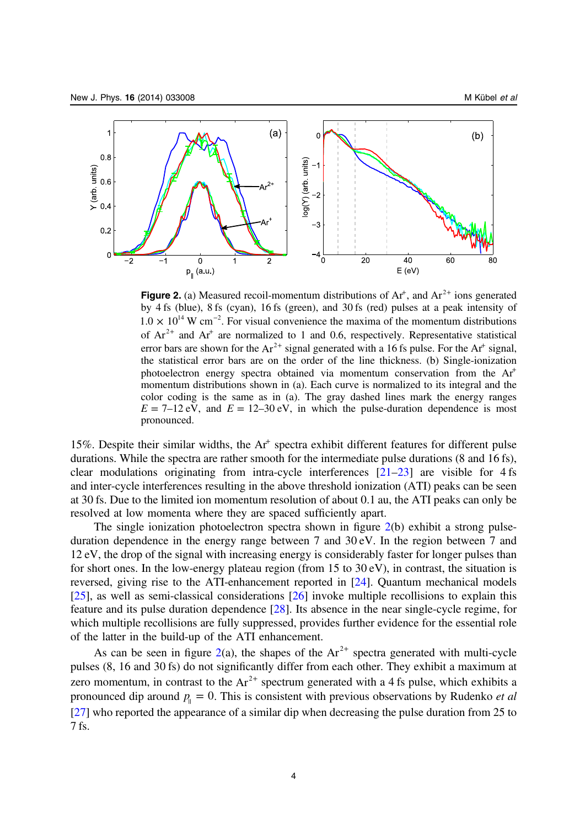<span id="page-4-0"></span>

**Figure 2.** (a) Measured recoil-momentum distributions of  $Ar^+$ , and  $Ar^{2+}$  ions generated by 4 fs (blue), 8 fs (cyan), 16 fs (green), and 30 fs (red) pulses at a peak intensity of  $1.0 \times 10^{14}$  W cm<sup>-2</sup>. For visual convenience the maxima of the momentum distributions of  $Ar^{2+}$  and  $Ar^{+}$  are normalized to 1 and 0.6, respectively. Representative statistical error bars are shown for the  $Ar^{2+}$  signal generated with a 16 fs pulse. For the  $Ar^{+}$  signal, the statistical error bars are on the order of the line thickness. (b) Single-ionization photoelectron energy spectra obtained via momentum conservation from the  $Ar<sup>+</sup>$ momentum distributions shown in (a). Each curve is normalized to its integral and the color coding is the same as in (a). The gray dashed lines mark the energy ranges  $E = 7-12$  eV, and  $E = 12-30$  eV, in which the pulse-duration dependence is most pronounced.

15%. Despite their similar widths, the  $Ar<sup>+</sup>$  spectra exhibit different features for different pulse durations. While the spectra are rather smooth for the intermediate pulse durations (8 and 16 fs), clear modulations originating from intra-cycle interferences  $[21-23]$  $[21-23]$  $[21-23]$  $[21-23]$  are visible for 4 fs and inter-cycle interferences resulting in the above threshold ionization (ATI) peaks can be seen at 30 fs. Due to the limited ion momentum resolution of about 0.1 au, the ATI peaks can only be resolved at low momenta where they are spaced sufficiently apart.

The single ionization photoelectron spectra shown in figure 2(b) exhibit a strong pulseduration dependence in the energy range between 7 and 30 eV. In the region between 7 and 12 eV, the drop of the signal with increasing energy is considerably faster for longer pulses than for short ones. In the low-energy plateau region (from  $15$  to  $30 \text{ eV}$ ), in contrast, the situation is reversed, giving rise to the ATI-enhancement reported in [\[24](#page-8-0)]. Quantum mechanical models [[25\]](#page-8-0), as well as semi-classical considerations [[26\]](#page-8-0) invoke multiple recollisions to explain this feature and its pulse duration dependence [[28\]](#page-8-0). Its absence in the near single-cycle regime, for which multiple recollisions are fully suppressed, provides further evidence for the essential role of the latter in the build-up of the ATI enhancement.

As can be seen in figure  $2(a)$ , the shapes of the  $Ar^{2+}$  spectra generated with multi-cycle pulses (8, 16 and 30 fs) do not significantly differ from each other. They exhibit a maximum at zero momentum, in contrast to the  $Ar^{2+}$  spectrum generated with a 4 fs pulse, which exhibits a pronounced dip around  $p_{\parallel} = 0$ . This is consistent with previous observations by Rudenko *et al* [[27\]](#page-8-0) who reported the appearance of a similar dip when decreasing the pulse duration from 25 to 7 fs.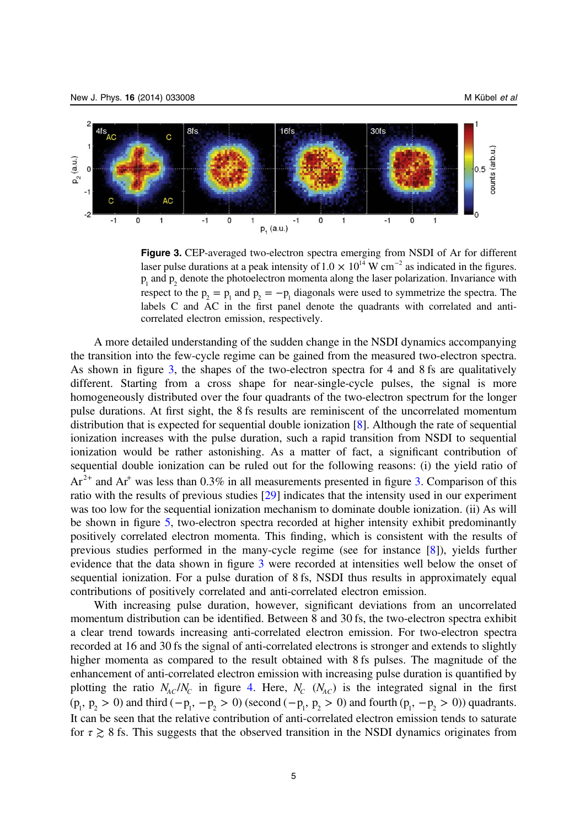<span id="page-5-0"></span>

Figure 3. CEP-averaged two-electron spectra emerging from NSDI of Ar for different laser pulse durations at a peak intensity of  $1.0 \times 10^{14}$  W cm<sup>-2</sup> as indicated in the figures.  $p_1$  and  $p_2$  denote the photoelectron momenta along the laser polarization. Invariance with respect to the  $p_2 = p_1$  and  $p_2 = -p_1$  diagonals were used to symmetrize the spectra. The labels C and AC in the first panel denote the quadrants with correlated and anticorrelated electron emission, respectively.

A more detailed understanding of the sudden change in the NSDI dynamics accompanying the transition into the few-cycle regime can be gained from the measured two-electron spectra. As shown in figure 3, the shapes of the two-electron spectra for 4 and 8 fs are qualitatively different. Starting from a cross shape for near-single-cycle pulses, the signal is more homogeneously distributed over the four quadrants of the two-electron spectrum for the longer pulse durations. At first sight, the 8 fs results are reminiscent of the uncorrelated momentum distribution that is expected for sequential double ionization [\[8](#page-7-0)]. Although the rate of sequential ionization increases with the pulse duration, such a rapid transition from NSDI to sequential ionization would be rather astonishing. As a matter of fact, a significant contribution of sequential double ionization can be ruled out for the following reasons: (i) the yield ratio of  $Ar^{2+}$  and  $Ar^{+}$  was less than 0.3% in all measurements presented in figure 3. Comparison of this ratio with the results of previous studies [[29\]](#page-8-0) indicates that the intensity used in our experiment was too low for the sequential ionization mechanism to dominate double ionization. (ii) As will be shown in figure [5,](#page-6-0) two-electron spectra recorded at higher intensity exhibit predominantly positively correlated electron momenta. This finding, which is consistent with the results of previous studies performed in the many-cycle regime (see for instance [[8\]](#page-7-0)), yields further evidence that the data shown in figure 3 were recorded at intensities well below the onset of sequential ionization. For a pulse duration of 8 fs, NSDI thus results in approximately equal contributions of positively correlated and anti-correlated electron emission.

With increasing pulse duration, however, significant deviations from an uncorrelated momentum distribution can be identified. Between 8 and 30 fs, the two-electron spectra exhibit a clear trend towards increasing anti-correlated electron emission. For two-electron spectra recorded at 16 and 30 fs the signal of anti-correlated electrons is stronger and extends to slightly higher momenta as compared to the result obtained with 8 fs pulses. The magnitude of the enhancement of anti-correlated electron emission with increasing pulse duration is quantified by plotting the ratio  $N_{AC}/N_c$  in figure [4](#page-6-0). Here,  $N_c$  ( $N_{AC}$ ) is the integrated signal in the first  $(p_1, p_2 > 0)$  and third  $(-p_1, -p_2 > 0)$  (second  $(-p_1, p_2 > 0)$  and fourth  $(p_1, -p_2 > 0)$ ) quadrants. It can be seen that the relative contribution of anti-correlated electron emission tends to saturate for  $\tau \geq 8$  fs. This suggests that the observed transition in the NSDI dynamics originates from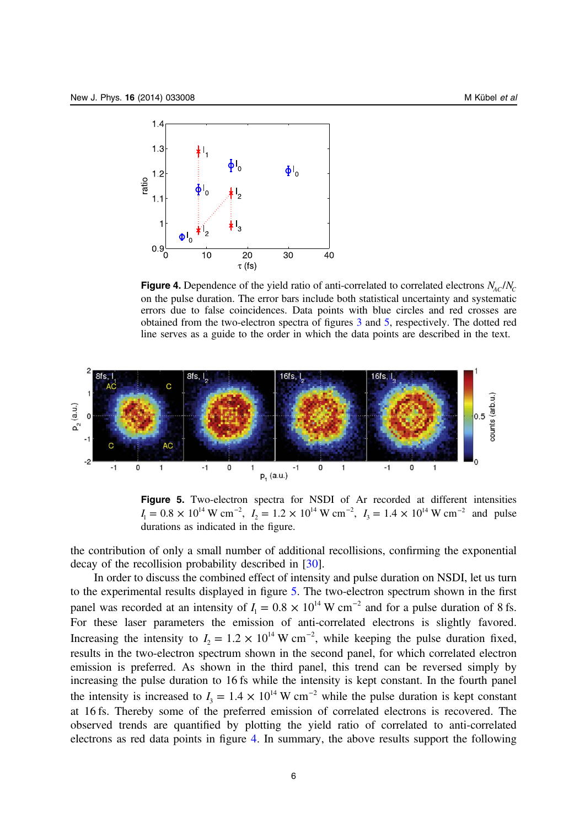<span id="page-6-0"></span>

**Figure 4.** Dependence of the yield ratio of anti-correlated to correlated electrons  $N_{AC}/N_C$ on the pulse duration. The error bars include both statistical uncertainty and systematic errors due to false coincidences. Data points with blue circles and red crosses are obtained from the two-electron spectra of figures [3](#page-5-0) and 5, respectively. The dotted red line serves as a guide to the order in which the data points are described in the text.



Figure 5. Two-electron spectra for NSDI of Ar recorded at different intensities  $I_1 = 0.8 \times 10^{14} \text{ W cm}^{-2}$ ,  $I_2 = 1.2 \times 10^{14} \text{ W cm}^{-2}$ ,  $I_3 = 1.4 \times 10^{14} \text{ W cm}^{-2}$  and pulse durations as indicated in the figure.

the contribution of only a small number of additional recollisions, confirming the exponential decay of the recollision probability described in [[30\]](#page-8-0).

In order to discuss the combined effect of intensity and pulse duration on NSDI, let us turn to the experimental results displayed in figure 5. The two-electron spectrum shown in the first panel was recorded at an intensity of  $I_1 = 0.8 \times 10^{14}$  W cm<sup>-2</sup> and for a pulse duration of 8 fs. For these laser parameters the emission of anti-correlated electrons is slightly favored. Increasing the intensity to  $I_2 = 1.2 \times 10^{14} \text{ W cm}^{-2}$ , while keeping the pulse duration fixed, results in the two-electron spectrum shown in the second panel, for which correlated electron emission is preferred. As shown in the third panel, this trend can be reversed simply by increasing the pulse duration to 16 fs while the intensity is kept constant. In the fourth panel the intensity is increased to  $I_3 = 1.4 \times 10^{14}$  W cm<sup>-2</sup> while the pulse duration is kept constant at 16 fs. Thereby some of the preferred emission of correlated electrons is recovered. The observed trends are quantified by plotting the yield ratio of correlated to anti-correlated electrons as red data points in figure 4. In summary, the above results support the following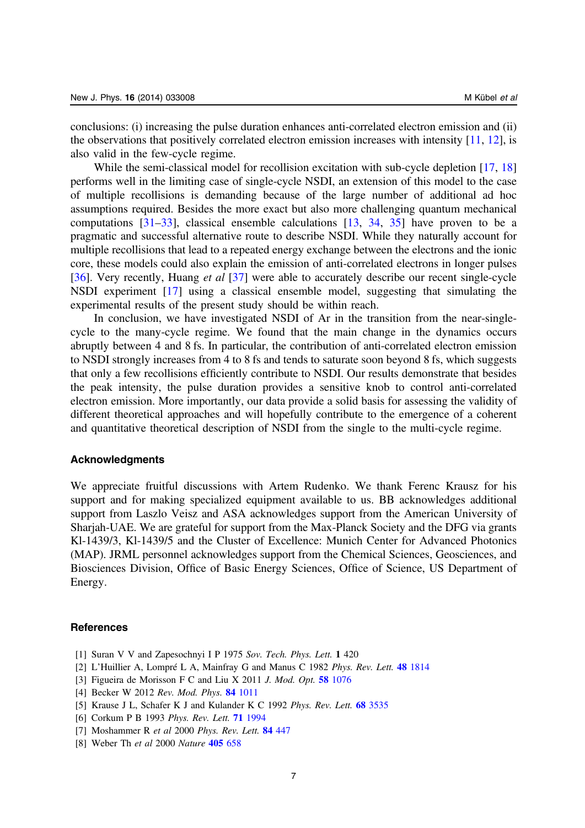<span id="page-7-0"></span>conclusions: (i) increasing the pulse duration enhances anti-correlated electron emission and (ii) the observations that positively correlated electron emission increases with intensity  $[11, 12]$  $[11, 12]$  $[11, 12]$  $[11, 12]$ , is also valid in the few-cycle regime.

While the semi-classical model for recollision excitation with sub-cycle depletion [[17,](#page-8-0) [18](#page-8-0)] performs well in the limiting case of single-cycle NSDI, an extension of this model to the case of multiple recollisions is demanding because of the large number of additional ad hoc assumptions required. Besides the more exact but also more challenging quantum mechanical computations [[31](#page-8-0)–[33\]](#page-8-0), classical ensemble calculations [[13,](#page-8-0) [34](#page-8-0), [35\]](#page-8-0) have proven to be a pragmatic and successful alternative route to describe NSDI. While they naturally account for multiple recollisions that lead to a repeated energy exchange between the electrons and the ionic core, these models could also explain the emission of anti-correlated electrons in longer pulses [[36\]](#page-8-0). Very recently, Huang *et al* [[37\]](#page-8-0) were able to accurately describe our recent single-cycle NSDI experiment [[17\]](#page-8-0) using a classical ensemble model, suggesting that simulating the experimental results of the present study should be within reach.

In conclusion, we have investigated NSDI of Ar in the transition from the near-singlecycle to the many-cycle regime. We found that the main change in the dynamics occurs abruptly between 4 and 8 fs. In particular, the contribution of anti-correlated electron emission to NSDI strongly increases from 4 to 8 fs and tends to saturate soon beyond 8 fs, which suggests that only a few recollisions efficiently contribute to NSDI. Our results demonstrate that besides the peak intensity, the pulse duration provides a sensitive knob to control anti-correlated electron emission. More importantly, our data provide a solid basis for assessing the validity of different theoretical approaches and will hopefully contribute to the emergence of a coherent and quantitative theoretical description of NSDI from the single to the multi-cycle regime.

### Acknowledgments

We appreciate fruitful discussions with Artem Rudenko. We thank Ferenc Krausz for his support and for making specialized equipment available to us. BB acknowledges additional support from Laszlo Veisz and ASA acknowledges support from the American University of Sharjah-UAE. We are grateful for support from the Max-Planck Society and the DFG via grants Kl-1439/3, Kl-1439/5 and the Cluster of Excellence: Munich Center for Advanced Photonics (MAP). JRML personnel acknowledges support from the Chemical Sciences, Geosciences, and Biosciences Division, Office of Basic Energy Sciences, Office of Science, US Department of Energy.

#### **References**

- [1] Suran V V and Zapesochnyi I P 1975 Sov. Tech. Phys. Lett. 1 420
- [2] L'Huillier A, Lompré L A, Mainfray G and Manus C 1982 Phys. Rev. Lett. 48 [1814](http://dx.doi.org/10.1103/PhysRevLett.48.1814)
- [3] Figueira de Morisson F C and Liu X 2011 J. Mod. Opt. 58 [1076](http://dx.doi.org/10.1080/09500340.2010.543958)
- [4] Becker W 2012 Rev. Mod. Phys. 84 [1011](http://dx.doi.org/10.1103/RevModPhys.84.1011)
- [5] Krause J L, Schafer K J and Kulander K C 1992 Phys. Rev. Lett. 68 [3535](http://dx.doi.org/10.1103/PhysRevLett.68.3535)
- [6] Corkum P B 1993 Phys. Rev. Lett. **71** [1994](http://dx.doi.org/10.1103/PhysRevLett.71.1994)
- [7] Moshammer R et al 2000 Phys. Rev. Lett. 84 [447](http://dx.doi.org/10.1103/PhysRevLett.84.447)
- [8] Weber Th et al 2000 Nature 405 [658](http://dx.doi.org/10.1038/35015033)